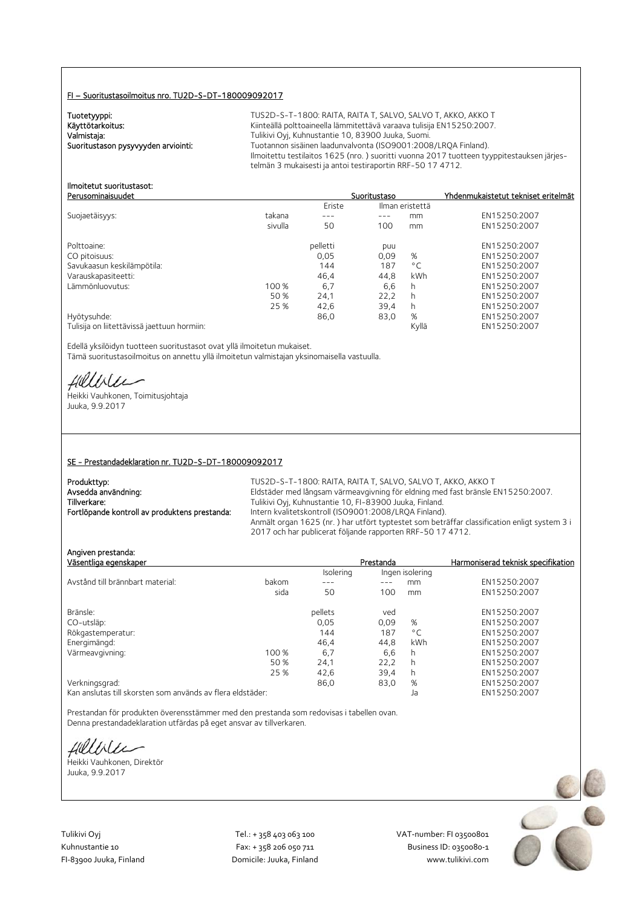### FI – Suoritustasoilmoitus nro. TU2D-S-DT-180009092017

Tuotetyyppi:<br>Käyttötarkoitus:

TUS2D-S-T-1800: RAITA, RAITA T, SALVO, SALVO T, AKKO, AKKO T Käyttötarkoitus: Käyttötarkoitus: Kiinteällä polttoaineella lämmitettävä varaava tulisija EN15250:2007.<br>Valmistaja: Kassas Kuhaustantie 10, 83900 Juuka, Suomi. Valmistaja: Valmistaja: Tulikivi Oyj, Kuhnustantie 10, 83900 Juuka, Suomi.<br>2008 Tuotannon sisäinen laadunvalvonta (ISO9001:2008 Vuoritustason pysyyyden arviointi: Tuotannon sisäinen laadunvalvonta (ISO9001:2008/LRQA Finland). Ilmoitettu testilaitos 1625 (nro. ) suoritti vuonna 2017 tuotteen tyyppitestauksen järjestelmän 3 mukaisesti ja antoi testiraportin RRF-50 17 4712.

#### Ilmoitetut suoritustasot: Perusominaisuudet Suoritustaso Yhdenmukaistetut tekniset eritelmät

|                                             |         | Eriste   | Ilman eristettä |              |              |
|---------------------------------------------|---------|----------|-----------------|--------------|--------------|
| Suojaetäisyys:                              | takana  | ---      | ---             | mm           | EN15250:2007 |
|                                             | sivulla | 50       | 100             | mm           | EN15250:2007 |
| Polttoaine:                                 |         | pelletti | puu             |              | EN15250:2007 |
| CO pitoisuus:                               |         | 0,05     | 0,09            | %            | EN15250:2007 |
| Savukaasun keskilämpötila:                  |         | 144      | 187             | $^{\circ}$ C | EN15250:2007 |
| Varauskapasiteetti:                         |         | 46.4     | 44.8            | kWh          | EN15250:2007 |
| Lämmönluovutus:                             | 100 %   | 6,7      | 6,6             | h.           | EN15250:2007 |
|                                             | 50 %    | 24.1     | 22,2            | h            | EN15250:2007 |
|                                             | 25 %    | 42,6     | 39.4            | h.           | EN15250:2007 |
| Hyötysuhde:                                 |         | 86,0     | 83,0            | %            | EN15250:2007 |
| Tulisija on liitettävissä jaettuun hormiin: |         |          |                 | Kyllä        | EN15250:2007 |

Edellä yksilöidyn tuotteen suoritustasot ovat yllä ilmoitetun mukaiset. Tämä suoritustasoilmoitus on annettu yllä ilmoitetun valmistajan yksinomaisella vastuulla.

fielliter

Heikki Vauhkonen, Toimitusjohtaja Juuka, 9.9.2017

### SE - Prestandadeklaration nr. TU2D-S-DT-180009092017

| Produkttyp:                                   | TUS2D-S-T-1800: RAITA, RAITA T. SALVO, SALVO T. AKKO, AKKO T                                |
|-----------------------------------------------|---------------------------------------------------------------------------------------------|
| Avsedda användning:                           | Eldstäder med långsam värmeavgivning för eldning med fast bränsle EN15250:2007.             |
| Tillverkare:                                  | Tulikivi Oyj, Kuhnustantie 10, FI-83900 Juuka, Finland.                                     |
| Fortlöpande kontroll av produktens prestanda: | Intern kvalitetskontroll (ISO9001:2008/LRQA Finland).                                       |
|                                               | Anmält organ 1625 (nr.) har utfört typtestet som beträffar classification enligt system 3 i |
|                                               | 2017 och har publicerat följande rapporten RRF-50 17 4712.                                  |

Angiven prestanda:

| Väsentliga egenskaper                                      |       |           | Prestanda |                 | Harmoniserad teknisk specifikation |
|------------------------------------------------------------|-------|-----------|-----------|-----------------|------------------------------------|
|                                                            |       | Isolering |           | Ingen isolering |                                    |
| Avstånd till brännbart material:                           | bakom | ---       | ---       | mm              | EN15250:2007                       |
|                                                            | sida  | 50        | 100       | mm              | EN15250:2007                       |
| Bränsle:                                                   |       | pellets   | ved       |                 | EN15250:2007                       |
| CO-utsläp:                                                 |       | 0,05      | 0,09      | %               | EN15250:2007                       |
| Rökgastemperatur:                                          |       | 144       | 187       | $^{\circ}$ C    | EN15250:2007                       |
| Energimängd:                                               |       | 46.4      | 44.8      | kWh             | EN15250:2007                       |
| Värmeavgivning:                                            | 100 % | 6,7       | 6.6       | h               | EN15250:2007                       |
|                                                            | 50 %  | 24,1      | 22.2      | h               | EN15250:2007                       |
|                                                            | 25 %  | 42,6      | 39,4      | h               | EN15250:2007                       |
| Verkningsgrad:                                             |       | 86,0      | 83,0      | %               | EN15250:2007                       |
| Kan anslutas till skorsten som används av flera eldstäder: |       |           |           | la              | FN15250:2007                       |

Prestandan för produkten överensstämmer med den prestanda som redovisas i tabellen ovan. Denna prestandadeklaration utfärdas på eget ansvar av tillverkaren.

fielliter

Heikki Vauhkonen, Direktör Juuka, 9.9.2017

Tulikivi Oyj Tel.: + 358 403 063 100 VAT‐number: FI 03500801

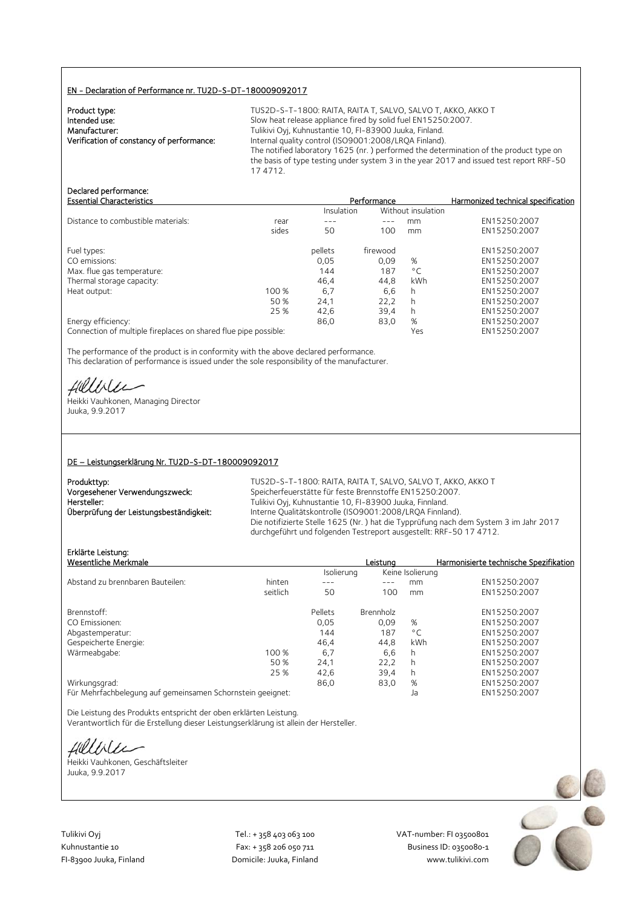### EN - Declaration of Performance nr. TU2D-S-DT-180009092017

| TUS2D-S-T-1800: RAITA, RAITA T, SALVO, SALVO T, AKKO, AKKO T                                       |
|----------------------------------------------------------------------------------------------------|
| Slow heat release appliance fired by solid fuel EN15250:2007.                                      |
| Tulikivi Oyj, Kuhnustantie 10, FI-83900 Juuka, Finland.                                            |
| Internal quality control (ISO9001:2008/LRQA Finland).                                              |
| The notified laboratory 1625 (nr.) performed the determination of the product type on              |
| the basis of type testing under system 3 in the year 2017 and issued test report RRF-50<br>174712. |
|                                                                                                    |

# Declared performance:

| <b>Essential Characteristics</b>   |       |            | Performance |                    | Harmonized technical specification |
|------------------------------------|-------|------------|-------------|--------------------|------------------------------------|
|                                    |       | Insulation |             | Without insulation |                                    |
| Distance to combustible materials: | rear  |            |             | mm                 | EN15250:2007                       |
|                                    | sides | 50         | 100         | mm                 | EN15250:2007                       |
| Fuel types:                        |       | pellets    | firewood    |                    | EN15250:2007                       |
| CO emissions:                      |       | 0,05       | 0.09        | %                  | EN15250:2007                       |
| Max. flue gas temperature:         |       | 144        | 187         | $^{\circ}$ C       | EN15250:2007                       |
| Thermal storage capacity:          |       | 46.4       | 44.8        | <b>kWh</b>         | EN15250:2007                       |
| Heat output:                       | 100 % | 6,7        | 6,6         | h                  | EN15250:2007                       |
|                                    | 50 %  | 24,1       | 22,2        | h                  | EN15250:2007                       |
|                                    | 25 %  | 42,6       | 39,4        |                    | EN15250:2007                       |
| Energy efficiency:                 |       | 86,0       | 83,0        | %                  | EN15250:2007                       |
|                                    |       |            |             |                    |                                    |

Connection of multiple fireplaces on shared flue pipe possible: Yes Wes EN15250:2007

The performance of the product is in conformity with the above declared performance. This declaration of performance is issued under the sole responsibility of the manufacturer.

Hillblu

Heikki Vauhkonen, Managing Director Juuka, 9.9.2017

### DE – Leistungserklärung Nr. TU2D-S-DT-180009092017

TUS2D-S-T-1800: RAITA, RAITA T, SALVO, SALVO T, AKKO, AKKO T Speicherfeuerstätte für feste Brennstoffe EN15250:2007. Tulikivi Oyj, Kuhnustantie 10, FI-83900 Juuka, Finnland. Interne Qualitätskontrolle (ISO9001:2008/LRQA Finnland). Die notifizierte Stelle 1625 (Nr. ) hat die Typprüfung nach dem System 3 im Jahr 2017 durchgeführt und folgenden Testreport ausgestellt: RRF-50 17 4712.

## Erklärte Leistung:

|                                                            |         | Leistuna  |              | Harmonisierte technische Spezifikation |
|------------------------------------------------------------|---------|-----------|--------------|----------------------------------------|
|                                                            |         |           |              |                                        |
| hinten                                                     |         |           | mm           | EN15250:2007                           |
| seitlich                                                   | 50      | 100       | mm           | EN15250:2007                           |
|                                                            | Pellets | Brennholz |              | EN15250:2007                           |
|                                                            | 0.05    | 0.09      | %            | EN15250:2007                           |
|                                                            | 144     | 187       | $^{\circ}$ C | EN15250:2007                           |
|                                                            | 46,4    | 44,8      | kWh          | EN15250:2007                           |
| 100 %                                                      | 6,7     | 6.6       | h            | EN15250:2007                           |
| 50 %                                                       | 24,1    | 22,2      | h            | EN15250:2007                           |
| 25 %                                                       | 42,6    | 39.4      | h            | EN15250:2007                           |
|                                                            | 86,0    | 83,0      | %            | EN15250:2007                           |
| Für Mehrfachbelegung auf gemeinsamen Schornstein geeignet: |         |           | Ja           | EN15250:2007                           |
|                                                            |         |           | Isolierung   | Keine Isolierung                       |

Die Leistung des Produkts entspricht der oben erklärten Leistung. Verantwortlich für die Erstellung dieser Leistungserklärung ist allein der Hersteller.

fielliter

Heikki Vauhkonen, Geschäftsleiter Juuka, 9.9.2017



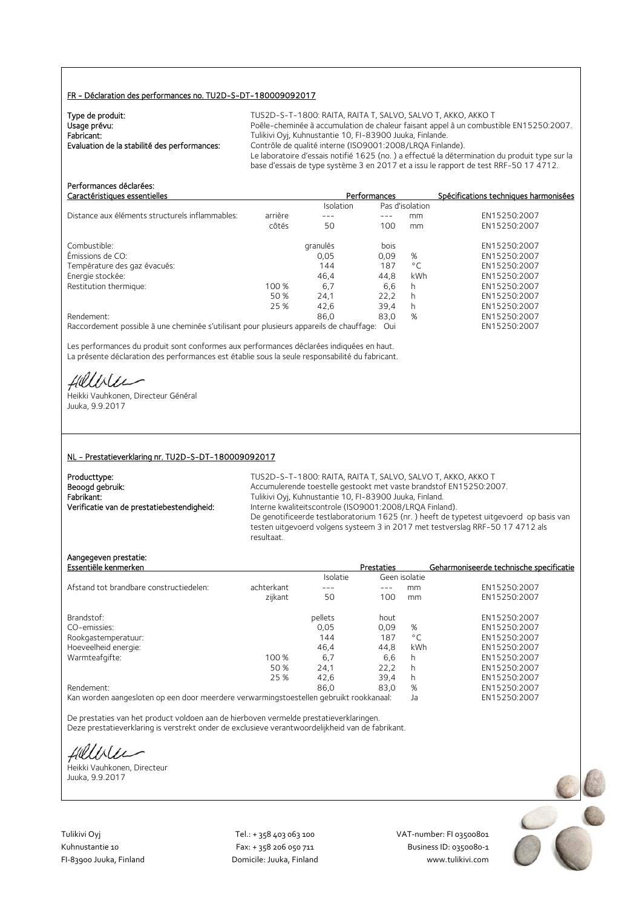### FR - Déclaration des performances no. TU2D-S-DT-180009092017

| Type de produit:<br>Usage prévu:<br>Fabricant:<br>Evaluation de la stabilité des performances: | TUS2D-S-T-1800: RAITA, RAITA T, SALVO, SALVO T, AKKO, AKKO T<br>Poêle-cheminée à accumulation de chaleur faisant appel à un combustible EN15250:2007.<br>Tulikivi Oyj, Kuhnustantie 10, FI-83900 Juuka, Finlande.<br>Contrôle de qualité interne (ISO9001:2008/LROA Finlande).<br>Le laboratoire d'essais notifié 1625 (no.) a effectué la détermination du produit type sur la |
|------------------------------------------------------------------------------------------------|---------------------------------------------------------------------------------------------------------------------------------------------------------------------------------------------------------------------------------------------------------------------------------------------------------------------------------------------------------------------------------|
|                                                                                                | base d'essais de type système 3 en 2017 et a issu le rapport de test RRF-50 17 4712.                                                                                                                                                                                                                                                                                            |

| Performances déclarées:<br>Caractéristiques essentielles                                |         |           | Performances |                 | Spécifications techniques harmonisées |
|-----------------------------------------------------------------------------------------|---------|-----------|--------------|-----------------|---------------------------------------|
|                                                                                         |         | Isolation |              | Pas d'isolation |                                       |
| Distance aux éléments structurels inflammables:                                         | arrière |           |              | mm              | EN15250:2007                          |
|                                                                                         | côtés   | 50        | 100          | mm              | EN15250:2007                          |
| Combustible:                                                                            |         | granulés  | bois         |                 | EN15250:2007                          |
| Émissions de CO:                                                                        |         | 0,05      | 0,09         | %               | EN15250:2007                          |
| Température des gaz évacués:                                                            |         | 144       | 187          | $^{\circ}$ C    | EN15250:2007                          |
| Energie stockée:                                                                        |         | 46,4      | 44,8         | kWh             | EN15250:2007                          |
| Restitution thermique:                                                                  | 100 %   | 6.7       | 6,6          | h               | EN15250:2007                          |
|                                                                                         | 50 %    | 24,1      | 22,2         | h               | EN15250:2007                          |
|                                                                                         | 25 %    | 42.6      | 39,4         | h               | EN15250:2007                          |
| Rendement:                                                                              |         | 86.0      | 83,0         | %               | EN15250:2007                          |
| Raccordement possible à une cheminée s'utilisant pour plusieurs appareils de chauffage: |         |           | Oui          |                 | EN15250:2007                          |

Les performances du produit sont conformes aux performances déclarées indiquées en haut. La présente déclaration des performances est établie sous la seule responsabilité du fabricant.

Hillble

Heikki Vauhkonen, Directeur Général Juuka, 9.9.2017

#### NL - Prestatieverklaring nr. TU2D-S-DT-180009092017

| Producttype:                               |
|--------------------------------------------|
| Beoogd gebruik:                            |
| Fabrikant:                                 |
| Verificatie van de prestatiebestendigheid: |

TUS2D-S-T-1800: RAITA, RAITA T, SALVO, SALVO T, AKKO, AKKO T Accumulerende toestelle gestookt met vaste brandstof EN15250:2007. Fabrikant: Tulikivi Oyj, Kuhnustantie 10, FI-83900 Juuka, Finland. Interne kwaliteitscontrole (ISO9001:2008/LRQA Finland). De genotificeerde testlaboratorium 1625 (nr. ) heeft de typetest uitgevoerd op basis van testen uitgevoerd volgens systeem 3 in 2017 met testverslag RRF-50 17 4712 als resultaat.

### Aangegeven prestatie:

| Essentiële kenmerken                    |            |          | <b>Prestaties</b> |               | Geharmoniseerde technische specificatie |
|-----------------------------------------|------------|----------|-------------------|---------------|-----------------------------------------|
|                                         |            | Isolatie |                   | Geen isolatie |                                         |
| Afstand tot brandbare constructiedelen: | achterkant | ---      |                   | mm            | EN15250:2007                            |
|                                         | zijkant    | 50       | 100               | mm            | EN15250:2007                            |
| Brandstof:                              |            | pellets  | hout              |               | EN15250:2007                            |
| CO-emissies:                            |            | 0.05     | 0.09              | %             | EN15250:2007                            |
| Rookgastemperatuur:                     |            | 144      | 187               | $^{\circ}$ C  | EN15250:2007                            |
| Hoeveelheid energie:                    |            | 46.4     | 44.8              | kWh           | EN15250:2007                            |
| Warmteafgifte:                          | 100 %      | 6,7      | 6.6               | h             | EN15250:2007                            |
|                                         | 50 %       | 24,1     | 22,2              | h             | EN15250:2007                            |
|                                         | 25 %       | 42.6     | 39,4              | h             | EN15250:2007                            |
| Rendement:                              |            | 86.0     | 83.0              | %             | EN15250:2007                            |
| $\overline{\phantom{a}}$                |            |          |                   |               |                                         |

Kan worden aangesloten op een door meerdere verwarmingstoestellen gebruikt rookkanaal: Ja EN15250:2007

De prestaties van het product voldoen aan de hierboven vermelde prestatieverklaringen. Deze prestatieverklaring is verstrekt onder de exclusieve verantwoordelijkheid van de fabrikant.

fillble

Heikki Vauhkonen, Directeur Juuka, 9.9.2017

Tulikivi Oyj Tel.: + 358 403 063 100 VAT‐number: FI 03500801

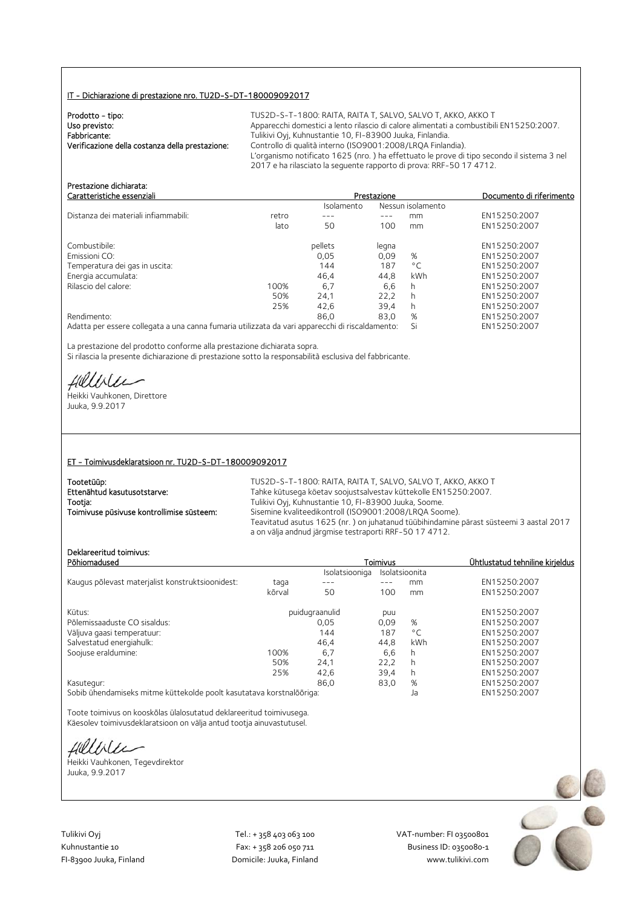### IT - Dichiarazione di prestazione nro. TU2D-S-DT-180009092017

| Prodotto - tipo:<br>Uso previsto:<br>Fabbricante:<br>Verificazione della costanza della prestazione: | TUS2D-S-T-1800: RAITA, RAITA T, SALVO, SALVO T, AKKO, AKKO T<br>Apparecchi domestici a lento rilascio di calore alimentati a combustibili EN15250:2007.<br>Tulikivi Oyi, Kuhnustantie 10, FI-83900 Juuka, Finlandia.<br>Controllo di qualità interno (ISO9001:2008/LRQA Finlandia).<br>L'organismo notificato 1625 (nro.) ha effettuato le prove di tipo secondo il sistema 3 nel<br>2017 e ha rilasciato la seguente rapporto di prova: RRF-50 17 4712. |
|------------------------------------------------------------------------------------------------------|----------------------------------------------------------------------------------------------------------------------------------------------------------------------------------------------------------------------------------------------------------------------------------------------------------------------------------------------------------------------------------------------------------------------------------------------------------|
|------------------------------------------------------------------------------------------------------|----------------------------------------------------------------------------------------------------------------------------------------------------------------------------------------------------------------------------------------------------------------------------------------------------------------------------------------------------------------------------------------------------------------------------------------------------------|

| Presidzione dichidrala.<br>Caratteristiche essenziali                                           |       | Prestazione | Documento di riferimento |                   |              |
|-------------------------------------------------------------------------------------------------|-------|-------------|--------------------------|-------------------|--------------|
|                                                                                                 |       | Isolamento  |                          | Nessun isolamento |              |
| Distanza dei materiali infiammabili:                                                            | retro | ---         | $-- -$                   | mm                | EN15250:2007 |
|                                                                                                 | lato  | 50          | 100                      | mm                | EN15250:2007 |
| Combustibile:                                                                                   |       | pellets     | legna                    |                   | EN15250:2007 |
| Emissioni CO:                                                                                   |       | 0.05        | 0.09                     | %                 | EN15250:2007 |
| Temperatura dei gas in uscita:                                                                  |       | 144         | 187                      | $^{\circ}$ C      | EN15250:2007 |
| Energia accumulata:                                                                             |       | 46,4        | 44,8                     | kWh               | EN15250:2007 |
| Rilascio del calore:                                                                            | 100%  | 6.7         | 6.6                      | h                 | EN15250:2007 |
|                                                                                                 | 50%   | 24,1        | 22,2                     | h                 | EN15250:2007 |
|                                                                                                 | 25%   | 42.6        | 39.4                     | h.                | EN15250:2007 |
| Rendimento:                                                                                     |       | 86.0        | 83.0                     | %                 | EN15250:2007 |
| Adatta per essere collegata a una canna fumaria utilizzata da vari apparecchi di riscaldamento: |       |             |                          | Si                | EN15250:2007 |

La prestazione del prodotto conforme alla prestazione dichiarata sopra. Si rilascia la presente dichiarazione di prestazione sotto la responsabilità esclusiva del fabbricante.

Hillbler

Prestazione dichiarata:

Heikki Vauhkonen, Direttore Juuka, 9.9.2017

### ET - Toimivusdeklaratsioon nr. TU2D-S-DT-180009092017

| Tootetüüp:                                | TUS2D-S-T-1800: RAITA, RAITA T, SALVO, SALVO T, AKKO, AKKO T                                                                                     |
|-------------------------------------------|--------------------------------------------------------------------------------------------------------------------------------------------------|
| Ettenähtud kasutusotstarve:               | Tahke kütusega köetav soojustsalvestav küttekolle EN15250:2007.                                                                                  |
| Tootja:                                   | Tulikivi Oyj, Kuhnustantie 10, FI-83900 Juuka, Soome.                                                                                            |
| Toimivuse püsivuse kontrollimise süsteem: | Sisemine kvaliteedikontroll (ISO9001:2008/LROA Soome).                                                                                           |
|                                           | Teavitatud asutus 1625 (nr.) on juhatanud tüübihindamine pärast süsteemi 3 aastal 2017<br>a on välja andnud järgmise testraporti RRF-50 17 4712. |
|                                           |                                                                                                                                                  |

### Deklareeritud toimivus:

| Deklareeritud toimivus:<br>Põhiomadused          |        |                | <b>Toimivus</b> |                | Ühtlustatud tehniline kirjeldus |
|--------------------------------------------------|--------|----------------|-----------------|----------------|---------------------------------|
|                                                  |        | Isolatsiooniga |                 | Isolatsioonita |                                 |
| Kaugus põlevast materjalist konstruktsioonidest: | taga   | ---            |                 | mm             | EN15250:2007                    |
|                                                  | kõrval | 50             | 100             | mm             | EN15250:2007                    |
| Kütus:                                           |        | puidugraanulid | puu             |                | EN15250:2007                    |
| Põlemissaaduste CO sisaldus:                     |        | 0.05           | 0.09            | %              | EN15250:2007                    |
| Väljuva gaasi temperatuur:                       |        | 144            | 187             | $^{\circ}$ C   | EN15250:2007                    |
| Salvestatud energiahulk:                         |        | 46.4           | 44.8            | kWh            | EN15250:2007                    |
| Soojuse eraldumine:                              | 100%   | 6.7            | 6,6             | h              | EN15250:2007                    |
|                                                  | 50%    | 24,1           | 22,2            | h              | EN15250:2007                    |
|                                                  | 25%    | 42,6           | 39,4            | h              | EN15250:2007                    |
| Kasutegur:                                       |        | 86.0           | 83,0            | %              | EN15250:2007                    |
|                                                  |        |                |                 |                | <b>FULLEDED DOOT</b>            |

Sobib ühendamiseks mitme küttekolde poolt kasutatava korstnalõõriga: Ja EN15250:2007

Toote toimivus on kooskõlas ülalosutatud deklareeritud toimivusega. Käesolev toimivusdeklaratsioon on välja antud tootja ainuvastutusel.

fillbile

Heikki Vauhkonen, Tegevdirektor Juuka, 9.9.2017

Tulikivi Oyj Tel.: + 358 403 063 100 VAT‐number: FI 03500801

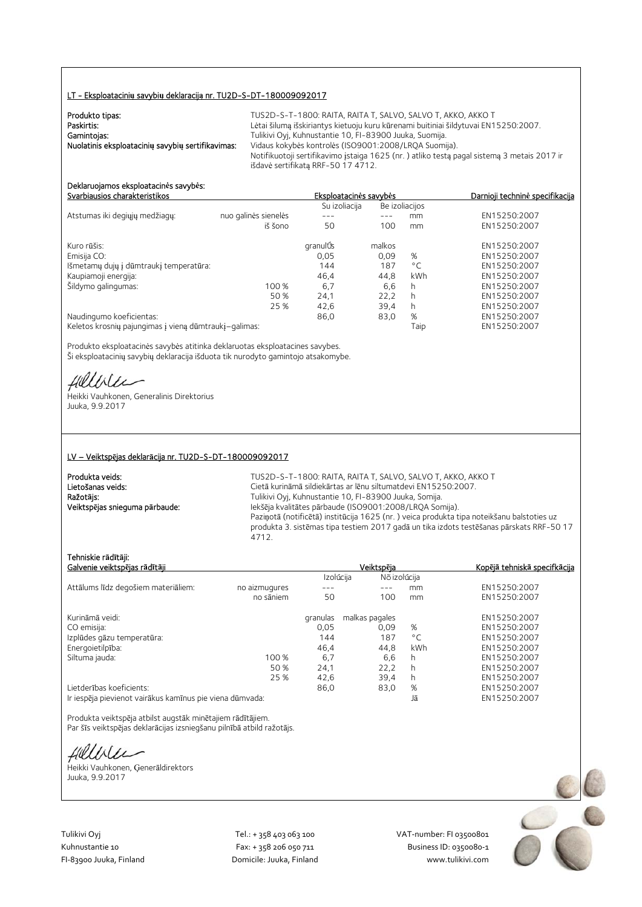### LT - Eksploatacini**ų** savybi**ų** deklaracij**ą** nr. TU2D-S-DT-180009092017

| Produkto tipas:                                   | TUS2D-S-T-1800: RAITA, RAITA T. SALVO, SALVO T. AKKO, AKKO T                               |
|---------------------------------------------------|--------------------------------------------------------------------------------------------|
| Paskirtis:                                        | Lėtai šilumą išskiriantys kietuoju kuru kūrenami buitiniai šildytuvai EN15250:2007.        |
| Gamintojas:                                       | Tulikivi Oyj, Kuhnustantie 10, FI-83900 Juuka, Suomija.                                    |
| Nuolatinis eksploatacinių savybių sertifikavimas: | Vidaus kokybės kontrolės (ISO9001:2008/LRQA Suomija).                                      |
|                                                   | Notifikuotoji sertifikavimo įstaiga 1625 (nr.) atliko testą pagal sistemą 3 metais 2017 ir |
|                                                   | išdavė sertifikatą RRF-50 17 4712.                                                         |

#### Deklaruojamos eksploatacin**ė**s savyb**ė**s: Svarbiausios charakteristikos Eksploatacin**ė**s savyb**ė**s Darnioji technin**ė** specifikacija

|                                                       |                      | Su izoliacija |        | Be izoliacijos |              |
|-------------------------------------------------------|----------------------|---------------|--------|----------------|--------------|
| Atstumas iki degiųjų medžiagų:                        | nuo galinės sienelės |               |        | mm             | EN15250:2007 |
|                                                       | iš šono              | 50            | 100    | mm             | EN15250:2007 |
| Kuro rūšis:                                           |                      | granulÚs      | malkos |                | EN15250:2007 |
| Emisija CO:                                           |                      | 0,05          | 0,09   | %              | EN15250:2007 |
| Išmetamų dujų į dūmtraukį temperatūra:                |                      | 144           | 187    | $^{\circ}$ C   | EN15250:2007 |
| Kaupiamoji energija:                                  |                      | 46.4          | 44,8   | kWh            | EN15250:2007 |
| Šildymo galingumas:                                   | 100 %                | 6,7           | 6,6    | h              | EN15250:2007 |
|                                                       | 50 %                 | 24.1          | 22.2   | h              | EN15250:2007 |
|                                                       | 25 %                 | 42,6          | 39.4   | h              | EN15250:2007 |
| Naudingumo koeficientas:                              |                      | 86,0          | 83,0   | %              | EN15250:2007 |
| Keletos krosnių pajungimas į vieną dūmtraukį-galimas: |                      |               |        | Taip           | EN15250:2007 |

Produkto eksploatacinės savybės atitinka deklaruotas eksploatacines savybes. Ši eksploatacinių savybių deklaracija išduota tik nurodyto gamintojo atsakomybe.

Hillbler

Heikki Vauhkonen, Generalinis Direktorius Juuka, 9.9.2017

### LV – Veiktsp**ē**jas deklar**ā**cija nr. TU2D-S-DT-180009092017

| Produkta veids:                | TUS2D-S-T-1800: RAITA, RAITA T, SALVO, SALVO T, AKKO, AKKO T                              |
|--------------------------------|-------------------------------------------------------------------------------------------|
| Lietošanas veids:              | Cietā kurināmā sildiekārtas ar lēņu siltumatdevi EN15250:2007.                            |
| Ražotājs:                      | Tulikivi Oyj, Kuhnustantie 10, FI-83900 Juuka, Somija.                                    |
| Veiktspējas snieguma pārbaude: | Iekšēja kvalitātes pārbaude (ISO9001:2008/LRQA Somija).                                   |
|                                | Paziņotā (notificētā) institūcija 1625 (nr.) veica produkta tipa noteikšanu balstoties uz |
|                                | produkta 3. sistēmas tipa testiem 2017 gadā un tika izdots testēšanas pārskats RRF-50 17  |
|                                | 4712.                                                                                     |

### Tehniskie r**ā**d**ī**t**ā**ji:

| Galvenie veiktspējas rādītāji                            |               |           | Veiktspēja     | <u>Kopējā tehniskā specifkācija</u> |              |
|----------------------------------------------------------|---------------|-----------|----------------|-------------------------------------|--------------|
|                                                          |               | Izolúcija | Nõ izolúcija   |                                     |              |
| Attālums līdz degošiem materiāliem:                      | no aizmugures |           |                | mm.                                 | EN15250:2007 |
|                                                          | no sāniem     | 50        | 100            | mm                                  | EN15250:2007 |
| Kurināmā veidi:                                          |               | granulas  | malkas pagales |                                     | EN15250:2007 |
| CO emisija:                                              |               | 0,05      | 0.09           | %                                   | EN15250:2007 |
| Izplūdes gāzu temperatūra:                               |               | 144       | 187            | $^{\circ}$ C                        | EN15250:2007 |
| Energoietilpība:                                         |               | 46,4      | 44,8           | kWh                                 | EN15250:2007 |
| Siltuma jauda:                                           | 100 %         | 6,7       | 6,6            | h                                   | EN15250:2007 |
|                                                          | 50 %          | 24,1      | 22.2           | h                                   | EN15250:2007 |
|                                                          | 25 %          | 42,6      | 39,4           | h.                                  | EN15250:2007 |
| Lietderības koeficients:                                 |               | 86,0      | 83,0           | %                                   | EN15250:2007 |
| Ir iespēja pievienot vairākus kamīnus pie viena dūmvada: |               |           |                | Jā                                  | EN15250:2007 |

Produkta veiktspēja atbilst augstāk minētajiem rādītājiem. Par šīs veiktspējas deklarācijas izsniegšanu pilnībā atbild ražotājs.

Hillble

Heikki Vauhkonen, Ģenerāldirektors Juuka, 9.9.2017

Tulikivi Oyj Tel.: + 358 403 063 100 VAT‐number: FI 03500801 FI-83900 Juuka, Finland Domicile: Juuka, Finland

Kuhnustantie 10 Fax: + 358 206 050 711 Fax: + 358 206 050 711 Business ID: 0350080-1<br>Fl-83900 Juuka, Finland Domicile: Juuka, Finland www.tulikivi.com

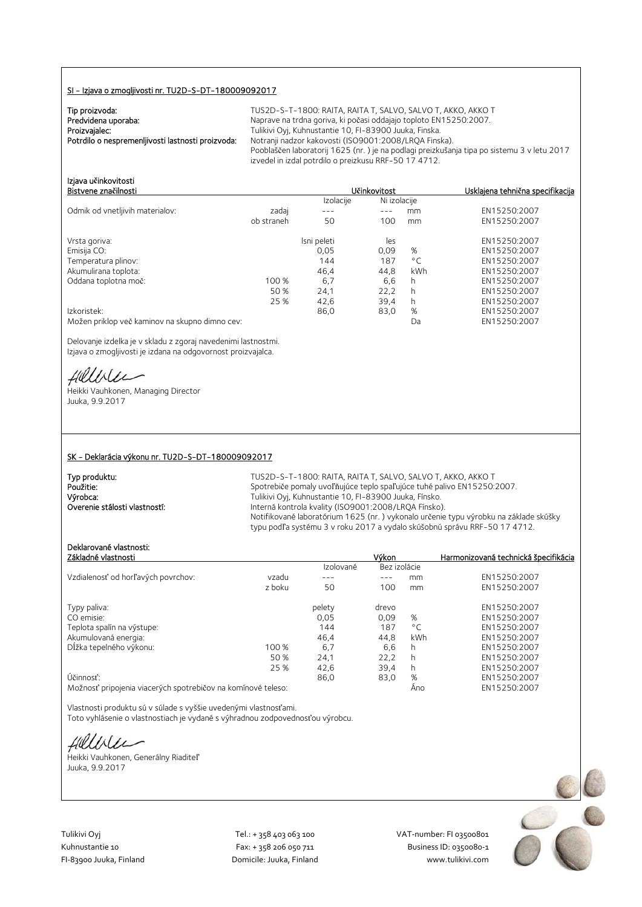### SI - Izjava o zmogljivosti nr. TU2D-S-DT-180009092017

| Tip proizvoda:                                    | TU |
|---------------------------------------------------|----|
| Predvidena uporaba:                               | Na |
| Proizvajalec:                                     | Tυ |
| Potrdilo o nespremenljivosti lastnosti proizvoda: | No |
|                                                   | Pη |

JS2D-S-T-1800: RAITA, RAITA T, SALVO, SALVO T, AKKO, AKKO T prave na trdna goriva, ki počasi oddajajo toploto EN15250:2007. .<br>Ilikivi Oyj, Kuhnustantie 10, FI-83900 Juuka, Finska. potranji nadzor kakovosti (ISO9001:2008/LRQA Finska). Pooblaščen laboratorij 1625 (nr. ) je na podlagi preizkušanja tipa po sistemu 3 v letu 2017 izvedel in izdal potrdilo o preizkusu RRF-50 17 4712.

Bistvene zna**č**ilnosti U**č**inkovitost Usklajena tehni**č**na specifikacija

| Izjava učinkovitosti<br>Bistvene značilnosti |            |           | Učinkovitost | Usklajena tehnična sp |
|----------------------------------------------|------------|-----------|--------------|-----------------------|
|                                              |            | Izolacije | Ni izolacije |                       |
| Odmik od vnetljivih materialov:              | zadai      |           | mm           | EN15250:2007          |
|                                              | ob straneh | 50        | mm           | EN15250:2007          |

| Vrsta goriva:                                  |       | Isni peleti | les  |              | EN15250:2007 |
|------------------------------------------------|-------|-------------|------|--------------|--------------|
| Emisija CO:                                    |       | 0,05        | 0.09 | %            | EN15250:2007 |
| Temperatura plinov:                            |       | 144         | 187  | $^{\circ}$ C | EN15250:2007 |
| Akumulirana toplota:                           |       | 46.4        | 44.8 | kWh          | EN15250:2007 |
| Oddana toplotna moč:                           | 100 % | 6,7         | 6.6  |              | EN15250:2007 |
|                                                | 50 %  | 24.1        | 22.2 | h            | EN15250:2007 |
|                                                | 25 %  | 42.6        | 39.4 | h.           | EN15250:2007 |
| Izkoristek:                                    |       | 86,0        | 83,0 | %            | EN15250:2007 |
| Možen priklop več kaminov na skupno dimno cev: |       |             |      | Da           | EN15250:2007 |

Delovanje izdelka je v skladu z zgoraj navedenimi lastnostmi. Izjava o zmogljivosti je izdana na odgovornost proizvajalca.

fillble

Heikki Vauhkonen, Managing Director Juuka, 9.9.2017

### SK - Deklarácia výkonu nr. TU2D-S-DT-180009092017

| Typ produktu:                 | TUS2D-S-T-1800: RAITA, RAITA T, SALVO, SALVO T, AKKO, AKKO T                         |
|-------------------------------|--------------------------------------------------------------------------------------|
| Použitie:                     | Spotrebiče pomaly uvoľňujúce teplo spaľujúce tuhé palivo EN15250:2007.               |
| Výrobca:                      | Tulikivi Oyi, Kuhnustantie 10, FI-83900 Juuka, Fínsko.                               |
| Overenie stálosti vlastností: | Interná kontrola kvality (ISO9001:2008/LROA Fínsko).                                 |
|                               | Notifikované laboratórium 1625 (nr.) vykonalo určenie typu výrobku na základe skúšky |
|                               | typu podľa systému 3 v roku 2017 a vydalo skúšobnú správu RRF-50 17 4712.            |

## Deklarované vlastnosti:

| bekia ovane viastnosti.<br>Základné vlastnosti |        |           | Výkon        |              | Harmonizovaná technická špecifikácia |
|------------------------------------------------|--------|-----------|--------------|--------------|--------------------------------------|
|                                                |        | Izolované | Bez izolácie |              |                                      |
|                                                |        |           |              |              |                                      |
| Vzdialenosť od horľavých povrchov:             | vzadu  |           |              | mm           | EN15250:2007                         |
|                                                | z boku | 50        | 100          | mm           | EN15250:2007                         |
| Typy paliva:                                   |        | pelety    | drevo        |              | EN15250:2007                         |
| CO emisie:                                     |        | 0,05      | 0.09         | %            | EN15250:2007                         |
| Teplota spalín na výstupe:                     |        | 144       | 187          | $^{\circ}$ C | EN15250:2007                         |
| Akumulovaná energia:                           |        | 46.4      | 44.8         | kWh          | EN15250:2007                         |
| Dĺžka tepelného výkonu:                        | 100%   | 6,7       | 6,6          | h            | EN15250:2007                         |
|                                                | 50 %   | 24,1      | 22.2         | h            | EN15250:2007                         |
|                                                | 25 %   | 42.6      | 39.4         | h            | EN15250:2007                         |
| Účinnosť:                                      |        | 86,0      | 83,0         | %            | EN15250:2007                         |
|                                                |        |           |              |              | $T$ MAC $2C$ $2C$                    |

Možnosť pripojenia viacerých spotrebičov na komínové teleso: Áno EN15250:2007

Vlastnosti produktu sú v súlade s vyššie uvedenými vlastnosťami. Toto vyhlásenie o vlastnostiach je vydané s výhradnou zodpovednosťou výrobcu.

fillble

Heikki Vauhkonen, Generálny Riaditeľ Juuka, 9.9.2017